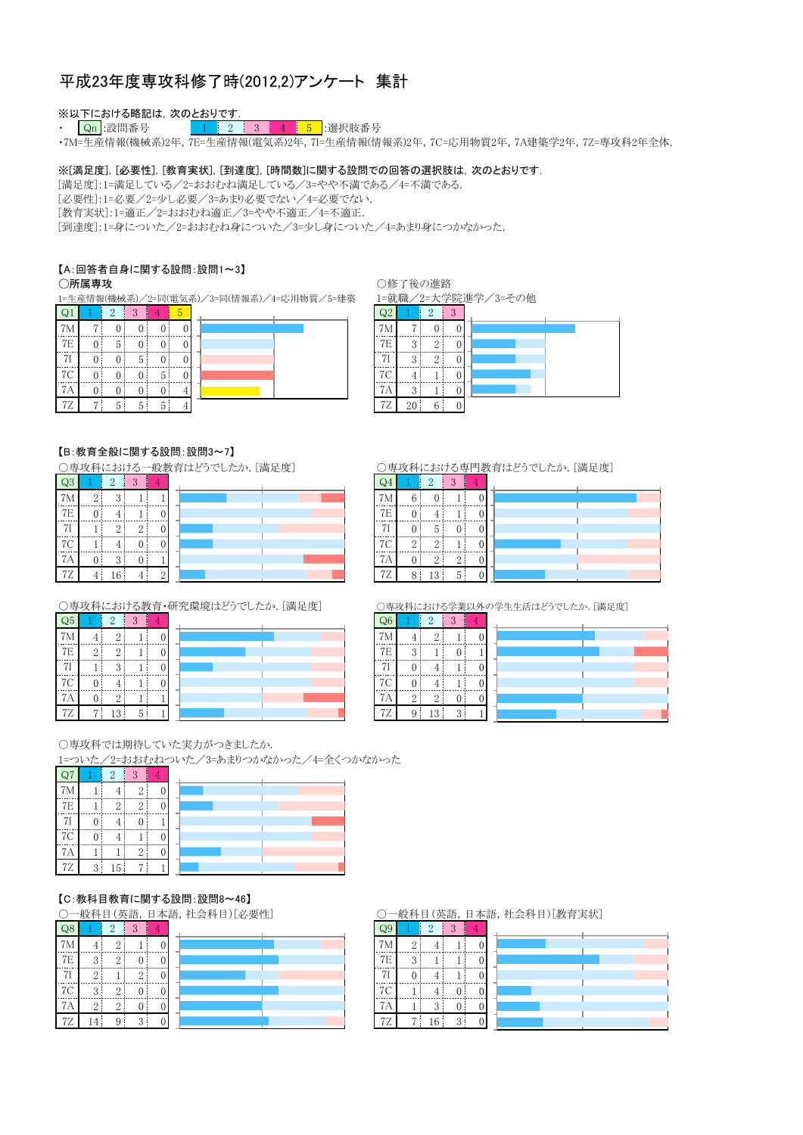### 平成23年度専攻科修了時(2012.2)アンケート 集計

# ※以下における略記は,次のとおりです<br>・ <mark> Qn</mark> :設問番号 2 <mark> 1 </mark> 2

4 5 提択肢番号  $1 \mid 2 \mid$  $3<sup>1</sup>$ 

·7M=生産情報(機械系)2年, 7E=生産情報(電気系)2年, 7I=生産情報(情報系)2年, 7C=応用物質2年, 7A建築学2年, 7Z=専攻科2年全体.

#### ※[満足度], [必要性], [教育実状], [到達度], [時間数]に関する設問での回答の選択肢は, 次のとおりです.

[満足度]:1=満足している/2=おおむね満足している/3=やや不満である/4=不満である.

[必要性]:1=必要/2=少し必要/3=あまり必要でない/4=必要でない.

[教育実状]:1=適正/2=おおむね適正/3=やや不適正/4=不適正.

「到達度]:1=身についた/2=おおむね身についた/3=少し身についた/4=あまり身につかなかった.

#### 【A:回答者自身に関する設問:設問1~3】

#### ○所属専攻

1=生産情報(機械系)/2=同(電気系)/3=同(情報系)/4=応用物質/5=建築  $\sim$   $\sim$ 

○修了後の進路

 $2$   $3$ 

 $Q_4$ 

1=就職/2=大学院進学/3=その他

| W. |    |    |   |  |  |  |  |  |
|----|----|----|---|--|--|--|--|--|
| 7) |    |    |   |  |  |  |  |  |
| 7E | 5  |    |   |  |  |  |  |  |
|    |    | С  |   |  |  |  |  |  |
| 7C |    |    | h |  |  |  |  |  |
|    |    |    |   |  |  |  |  |  |
| 72 | h, | :) |   |  |  |  |  |  |

| 7 <sub>M</sub> |   |          |  |
|----------------|---|----------|--|
| <b>7E</b>      | 2 | 9        |  |
|                | Ω | $\Omega$ |  |
| <b>7C</b>      |   |          |  |
| ΊA             |   |          |  |
| 72             |   |          |  |

#### 【B:教育全般に関する設問:設問3~7】

○専攻科における一般教育はどうでしたか.[満足度]  $\sum_{n=1}^{\infty}$  $\sim$ 

| QJ             |   |        |   |  |
|----------------|---|--------|---|--|
| 7 <sub>h</sub> | c | 3      |   |  |
| <b>7E</b>      | 0 |        |   |  |
|                |   | റ      | O |  |
| C<br>- 7       |   |        |   |  |
|                |   | 2<br>υ |   |  |
| ∠              |   | b      |   |  |

○専攻科における教育・研究環境はどうでしたか. [満足度]

| და        | 2        | ш. |  |
|-----------|----------|----|--|
|           | $\Omega$ |    |  |
| <b>7E</b> |          |    |  |
| 71        | ≘        |    |  |
| 7C        |          |    |  |
|           |          |    |  |
|           | 2        |    |  |

 $\rightarrow$ 

○専攻科における専門教育はどうでしたか. [満足度]

| <b>IVI</b>     |   |   |  |  |
|----------------|---|---|--|--|
| -7F<br>------- |   |   |  |  |
|                |   | - |  |  |
|                | c |   |  |  |
|                |   |   |  |  |
|                |   |   |  |  |

○専攻科における学業以外の学生生活はどうでしたか. [満足度]

| $\overline{\mathsf{Q6}}$ |          | $\Omega$ | $\Omega$ |                |
|--------------------------|----------|----------|----------|----------------|
| 7 <sup>N</sup>           |          | $\Omega$ |          |                |
| <b>7E</b>                | $\Omega$ |          |          |                |
| 71                       |          |          |          |                |
| 7C                       |          |          |          | <b>Service</b> |
| 7А                       |          | $\Omega$ |          |                |
| 7Ζ                       | y        |          | $\Omega$ |                |

○専攻科では期待していた実力がつきましたか.

1=ついた/2=おおむねついた/3=あまりつかなかった/4=全くつかなかった

| Q7 | $\overline{2}$ | 3              |   |  |
|----|----------------|----------------|---|--|
| 7M | 4              | $\overline{2}$ | 0 |  |
| 7E | 2              | 2              |   |  |
| 7I |                |                |   |  |
| 7C |                |                |   |  |
| 7A |                | 2              |   |  |
|    |                |                |   |  |

| .                |  |
|------------------|--|
| <b>B-R-R-R-R</b> |  |
|                  |  |
|                  |  |
|                  |  |
|                  |  |
|                  |  |

【C:教科目教育に関する設問:設問8~46】

○一般科目(英語,日本語,社会科目)[必要性]

|     |          | $\Omega$ | $\Omega$ |  |
|-----|----------|----------|----------|--|
| 7 M |          | $\Omega$ |          |  |
| -7E | $\Omega$ | $\Omega$ |          |  |
|     | $\Omega$ |          | c        |  |
| 7C  | $\Omega$ | $\Omega$ |          |  |
| I P | 2        | ↶<br>۷   |          |  |
|     |          |          | ິ        |  |

#### ○一般科目(英語,日本語,社会科目)[教育実状]

| $\mathsf{Q}$ |          | $\mathcal{D}_{\mathcal{L}}$ | 3        |  |
|--------------|----------|-----------------------------|----------|--|
| 7M           | Ω        |                             |          |  |
| 7E           | $\Omega$ |                             |          |  |
| 71           |          |                             |          |  |
| 7C           |          |                             |          |  |
| 7А           |          | Ω<br>с                      |          |  |
| <b>7Z</b>    |          | 16                          | $\Omega$ |  |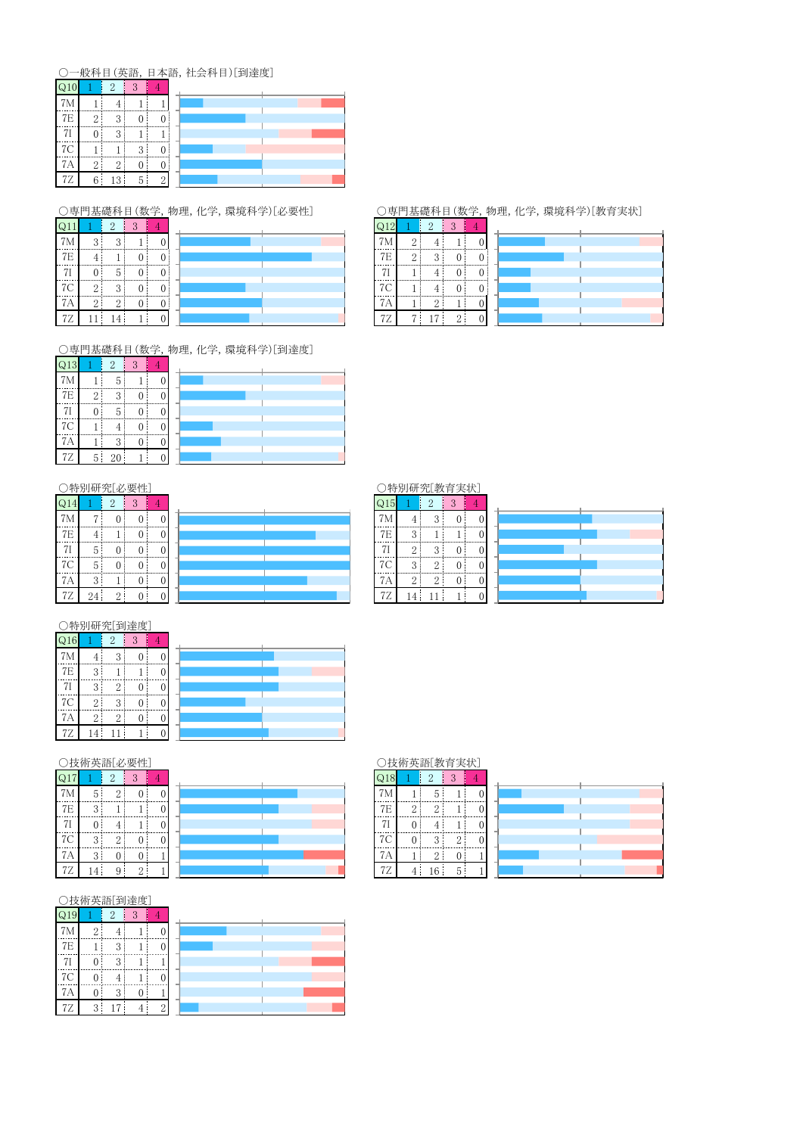# ○一般科目(英語,日本語,社会科目)[到達度]

|            |          |                                                   | $\cdots$ |          |
|------------|----------|---------------------------------------------------|----------|----------|
|            |          |                                                   |          |          |
| 7E         | $\Omega$ | $\Omega$                                          |          |          |
| --------   |          | 2                                                 |          |          |
| ,          |          |                                                   | 2        |          |
| $\sqrt{ }$ | ິ        | $\Omega$<br>↩                                     |          |          |
| L          | 6        | $\mathbf{\Omega}$<br>$\left  \cdot \right\rangle$ | h        | $\Omega$ |

○専門基礎科目(数学,物理,化学,環境科学)[必要性]

| $\mathsf{Q}$   |          |        | 2 |   |
|----------------|----------|--------|---|---|
| 7M             | 3        | 3      |   |   |
| 7E             |          |        |   |   |
|                |          | 5      |   |   |
| <sup>7</sup> C | $\Omega$ | 3      |   | 0 |
| 7A             | 2:       | ŋ<br>∠ |   |   |
| 7Ζ             |          | 4      |   | U |

○専門基礎科目(数学,物理,化学,環境科学)[到達度]

| Q13            |                   | $\overline{2}$ | 3 |   |  |
|----------------|-------------------|----------------|---|---|--|
| 7M             |                   | 5              |   | 0 |  |
| 7E             | $\mathcal{D}_{1}$ | 3              |   | 0 |  |
| 7 <sup>1</sup> | 0                 | 5              | ſ | 0 |  |
| 7C             |                   |                | 0 | 0 |  |
| 7A             |                   | 3              | U | 0 |  |
| 7Z             | 5 <sup>1</sup>    | 20             |   | ſ |  |

|                | 特別研究[必要性] |                |          |   |  |  |  |  |  |
|----------------|-----------|----------------|----------|---|--|--|--|--|--|
| Q14            |           | $\overline{2}$ | 3        |   |  |  |  |  |  |
| 7M             |           | $\Omega$       | $\Omega$ | 0 |  |  |  |  |  |
| 7 <sub>E</sub> |           |                | 0        | 0 |  |  |  |  |  |
| 71             | 5         | $\Omega$       | 0        | O |  |  |  |  |  |
| 7C             | 5         | 0              | 1        | 0 |  |  |  |  |  |
| 7A             | 3         |                | 0        | 0 |  |  |  |  |  |
| 77             | 24        |                |          |   |  |  |  |  |  |

| ○特別研究[到達度]       |   |   |   |  |  |  |  |  |
|------------------|---|---|---|--|--|--|--|--|
| $\overline{Q}16$ |   | 2 | 3 |  |  |  |  |  |
| 7M               |   | 3 |   |  |  |  |  |  |
| 7E               | 3 |   |   |  |  |  |  |  |
| 7I               | 3 | 2 |   |  |  |  |  |  |
| 7C               | 2 | 3 |   |  |  |  |  |  |
| 7A               | 2 | 2 |   |  |  |  |  |  |
| 72               |   |   |   |  |  |  |  |  |

#### ○技術英語[必要性]

| Q17 |           | $\overline{2}$ | 3        |   |  |
|-----|-----------|----------------|----------|---|--|
| 7M  | 5         | $\overline{2}$ | $\theta$ | 0 |  |
| 7E  | 3         |                |          | 0 |  |
| 7I  | 0         | 4              |          | 0 |  |
| 7C  | 3         | $\overline{2}$ | 0        | 0 |  |
| 7A  | 3         | 0              | $\theta$ |   |  |
| 77  | $\Lambda$ | Q              | 9        |   |  |

#### ○技術英語[到達度]

| Q19            |                | $\overline{2}$ | 3        |                |  |
|----------------|----------------|----------------|----------|----------------|--|
| 7 <sub>M</sub> | $\overline{2}$ |                |          |                |  |
| 7E             |                | 3              |          |                |  |
| 7 <sub>l</sub> | 0              | 3              |          |                |  |
| 7C             | $\Omega$       | 4              |          |                |  |
| 7A             | $\theta$       | 3              | $\Omega$ |                |  |
| 7Z             | 3              | 17             |          | $\overline{2}$ |  |

# ○技術英語[教育実状]  $\begin{array}{|c|c|c|c|c|}\n\hline\n2 & 3 & 4\n\end{array}$  $\overline{Q18}$  $7\mathrm{M}$  $\begin{tabular}{c} \hline 7E \\ \hline 7I \\ \hline 7C \\ \hline 7A \\ \hline 7Z \\ \hline \end{tabular}$

|  | u |  |  |  |  |  |
|--|---|--|--|--|--|--|

## $Q12$

| 7M            | $\Omega$       |                |               |  |  |
|---------------|----------------|----------------|---------------|--|--|
| <b>7E</b>     | $\overline{2}$ | $\Omega$       |               |  |  |
|               |                |                |               |  |  |
| 7C            | 1              |                |               |  |  |
| 7A            |                |                |               |  |  |
| $7\mathrm{Z}$ | $\overline{ }$ | $\overline{ }$ | $\Omega$<br>↵ |  |  |

| ○特別研究[教育実状] |  |
|-------------|--|
|             |  |

| Q15             |               | .,                      | ٠, |   |  |
|-----------------|---------------|-------------------------|----|---|--|
|                 |               | $\Omega$                | 0  |   |  |
| $\overline{7E}$ | $\mathcal{P}$ |                         |    |   |  |
| 7I              | Ω             | $\mathbf{\Omega}$<br>л. |    |   |  |
| --<br>7C        | 3             | $\Omega$                |    |   |  |
| 7Α              | $\Omega$<br>∠ | $\Omega$                | 0  |   |  |
| 7Z              | $\cdot$ 4     |                         |    | U |  |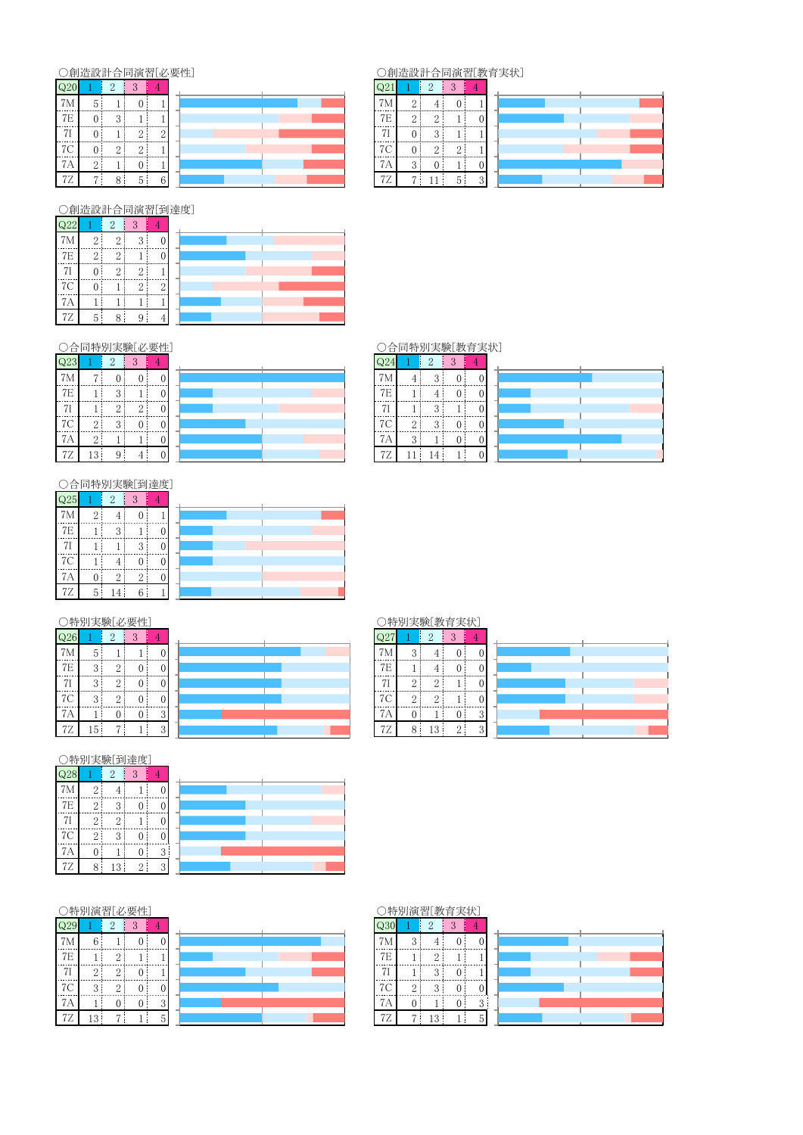# ○創造設計合同演習[必要性]

| Q20            |    | റ            | $\Omega$ |   |  |
|----------------|----|--------------|----------|---|--|
| 7 <sub>h</sub> | ۰. |              |          |   |  |
| 7E             |    | 2<br>$\cdot$ |          |   |  |
|                |    |              |          | c |  |
| $\overline{ }$ |    | $\Omega$     |          |   |  |
| (A             | Ω  |              |          |   |  |
| <b>7Z</b>      | ,  | о            | Ð        | ĥ |  |

#### ○創造設計合同演習[教育実状]

| $Q2_1$    |                | $\overline{2}$ | 3        |            |  |
|-----------|----------------|----------------|----------|------------|--|
| 7M        | $\overline{2}$ |                |          |            |  |
| <b>7E</b> | $\Omega$       | $\Omega$       |          |            |  |
|           |                | 3              |          |            |  |
| <b>7C</b> |                | $\Omega$       | $\Omega$ |            |  |
| 7Α        | 3              |                |          |            |  |
|           | -              |                | h,       | $\epsilon$ |  |

○創造設計合同演習[到達度]

| Q22            |                | $\Omega$       | 3 |  |
|----------------|----------------|----------------|---|--|
| 7 <sub>M</sub> | 2:             | $\overline{2}$ | 3 |  |
| 7E             | $\overline{2}$ | $\overline{2}$ |   |  |
|                |                | $\overline{2}$ | 2 |  |
| 7C             | $^{(1)}$       |                | റ |  |
| 7А             |                |                |   |  |
| 7Ζ             | 5              | 8              | u |  |

#### ○合同特別実験[必要性]

| $\overline{Q}23$ |                | $\overline{2}$ | 3              |   |  |
|------------------|----------------|----------------|----------------|---|--|
| 7M               | 7              | 0              | C              | 0 |  |
| 7E               |                | 3              |                | 0 |  |
| 7I               |                | $\overline{2}$ | $\overline{2}$ | O |  |
| 7C               | $\overline{2}$ | 3              | 0              | 0 |  |
| 7A               | $\overline{2}$ |                |                | 0 |  |
| 72               | 13             | q              |                |   |  |

|             | . ) 合同特別実験  教育実状 |  |  |
|-------------|------------------|--|--|
| $\Omega$ 24 |                  |  |  |

| 624 |          |               | $\cdot$ ) |  |
|-----|----------|---------------|-----------|--|
| 7Μ  |          | Ω             |           |  |
| 7E  |          |               |           |  |
| 71  |          | $\Omega$      |           |  |
| 7C  | $\Omega$ | $\Omega$<br>٠ |           |  |
| 7A  | $\Omega$ |               |           |  |
| 72  |          |               |           |  |

| С.  | 合同特別実験[到達度] |                |                |  |
|-----|-------------|----------------|----------------|--|
| Q25 |             | 2              | 3              |  |
| 7M  | 2           | 4              | O              |  |
| 7E  |             | 3              |                |  |
| 7I  |             |                | 3              |  |
| 7C  |             |                |                |  |
| 7A  |             | $\overline{2}$ | $\overline{2}$ |  |
| 77  | 5           |                | ĥ              |  |

| -- |  |  |
|----|--|--|
|    |  |  |
|    |  |  |
|    |  |  |
|    |  |  |

|     | 特別実験「必要」<br>生 |                |          |          |  |  |  |
|-----|---------------|----------------|----------|----------|--|--|--|
| Q26 |               | $\overline{2}$ | 3        |          |  |  |  |
| 7M  | 5             |                |          | 0        |  |  |  |
| 7E  | 3             | $\overline{2}$ | $\Omega$ | $\Omega$ |  |  |  |
| 7I  | 3             | $\overline{2}$ | $\theta$ | 0        |  |  |  |
| 7C  | 3             | $\overline{2}$ | $\Omega$ | 0        |  |  |  |
| 7A  |               | 0              | 0        | 3        |  |  |  |
| 72  | 5             |                |          | 3        |  |  |  |

# ○特別実験[教育実状]

|                |          | 4        | ш        |                |  |
|----------------|----------|----------|----------|----------------|--|
| 7 <sub>M</sub> | ≘        |          |          |                |  |
| $7\mathrm{E}$  |          |          |          |                |  |
| 7I             | 2        | $\Omega$ |          |                |  |
| 7C             | $\Omega$ | $\Omega$ |          |                |  |
| 7А             |          |          |          | $\Omega$<br>л. |  |
| 7Ζ             | 8        | 0<br>ıυ  | $\Omega$ | $\Omega$       |  |

# 

| QZ8 |                | Ζ              | 3 |   |  |
|-----|----------------|----------------|---|---|--|
| 7M  | $\overline{2}$ |                |   | 0 |  |
| 7E  | $\overline{2}$ | 3              | 0 | 0 |  |
| 7I  | $\overline{2}$ | $\overline{2}$ |   | Ó |  |
| 7C  | $\overline{2}$ | 3              | 0 | 0 |  |
| 7A  | Ō              |                | 0 | 3 |  |
|     |                | $\mathcal{R}$  | 2 |   |  |

| . . |  |
|-----|--|
|     |  |
| ن.  |  |
|     |  |

#### ○特別演習[必要性]

| Q29 |                | $\overline{2}$ | 3 |   |  |
|-----|----------------|----------------|---|---|--|
| 7M  | 6              |                | 0 | 0 |  |
| 7E  |                | 2              |   |   |  |
| 7I  | $\overline{2}$ | $\overline{2}$ | U |   |  |
| 7C  | 3              | $\overline{2}$ | 0 | 0 |  |
| 7A  |                | 0              | 0 | 3 |  |
| 7Z  | 13             |                |   | 5 |  |

### ○特別演習[教育実状]

| Q30       |                | $\overline{2}$ | 3              | 4 |
|-----------|----------------|----------------|----------------|---|
| 7M        | 3              |                | $\overline{0}$ | 0 |
| 7E        |                | $\overline{2}$ |                |   |
| 71        |                | 3              | 0              |   |
| 7C        | $\mathbf{2}$   | 3              | $\overline{0}$ | 0 |
| 7A        | 0              |                | 0              | 3 |
| <b>7Z</b> | $\overline{ }$ | 13             |                | 5 |

## ○合同特別実験「数音宝出」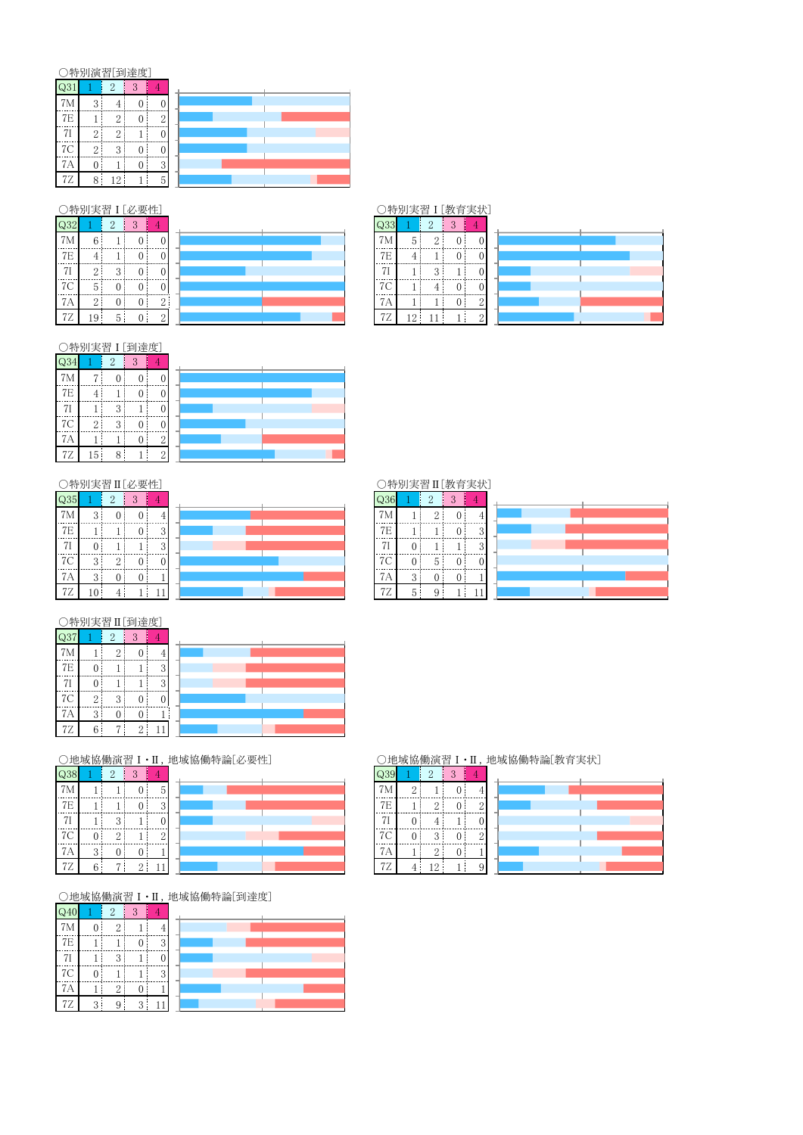#### ○特別演習[到達度]

| Q31            |                         | 2              | 3             |                |
|----------------|-------------------------|----------------|---------------|----------------|
| 7M             | 3                       |                | ſ             |                |
| 7E             |                         | $\overline{2}$ | $\theta$      | $\overline{2}$ |
| 7 <sub>l</sub> | $\overline{2}$          | $\overline{2}$ |               |                |
| 7C             | 2                       | 3              | $\mathcal{O}$ |                |
| 7A             |                         |                | $\mathbf{0}$  | 3              |
| 72             | $\mathsf{\overline{R}}$ | 12             |               |                |

| Q32 |          | $\Omega$ | 3              |              |  |  | OO. |   | Ω        | 2 |   |
|-----|----------|----------|----------------|--------------|--|--|-----|---|----------|---|---|
| 7M  | 6        |          |                |              |  |  | 7M  | 5 | 2        |   |   |
| 7E  |          |          |                |              |  |  | 7E  |   |          |   |   |
| 7I  | $\Omega$ | 3        | 0              |              |  |  | 7I  |   | $\Omega$ |   |   |
| 7C  | -<br>5   | 0        | 0              |              |  |  | 7C  |   |          |   |   |
| 7A  | റ        | 0        | $\theta$       | $\mathbf{2}$ |  |  | 7Α  |   |          | 0 | 2 |
| 7Ζ  | 19       | 5        | $\overline{0}$ | $\sqrt{2}$   |  |  | 7Ζ  | C |          |   | 2 |

#### !"#:%;&<=>\* !"#:%;&?@:A\*

| Q33       |    | $\overline{2}$         | 3 |  |  |  |  |
|-----------|----|------------------------|---|--|--|--|--|
| 7M        | 5  | 9                      |   |  |  |  |  |
| 7E        |    |                        |   |  |  |  |  |
| 71        |    | $\mathbf{\Omega}$<br>c |   |  |  |  |  |
| 7C        |    |                        |   |  |  |  |  |
| 7Α        |    |                        |   |  |  |  |  |
| <b>7Z</b> | '2 |                        |   |  |  |  |  |

#### ○特別実習 I [到達度]

| $\overline{Q}34$ |                | $\overline{2}$ | 3 |   |
|------------------|----------------|----------------|---|---|
| 7M               |                | 0              | 0 |   |
| 7E               |                |                | 0 |   |
| 7I               |                | 3              |   |   |
| 7C               | $\overline{2}$ | 3              | 0 |   |
| <b>7A</b>        |                |                | O | 2 |
| 7Z               | 15             | 8              |   | 2 |

| Λ. |  |  |
|----|--|--|

| ○特別実習Ⅱ[必要性]      |   |                |   |   |  |  |  |  |  |
|------------------|---|----------------|---|---|--|--|--|--|--|
| $\overline{Q}35$ |   | $\overline{2}$ | 3 |   |  |  |  |  |  |
| 7 <sub>M</sub>   | 3 | 0              | 0 |   |  |  |  |  |  |
| 7E               |   |                | 0 | 3 |  |  |  |  |  |
| 7I               |   |                |   | 3 |  |  |  |  |  |
| 7C               | 3 | $\overline{2}$ | 0 | 0 |  |  |  |  |  |
| 7A               | 3 | 0              | 0 |   |  |  |  |  |  |
| 77               |   |                |   |   |  |  |  |  |  |

| .              |               |          | . .<br>----- |          |  |  |                | .             | - -     | - - |                   |
|----------------|---------------|----------|--------------|----------|--|--|----------------|---------------|---------|-----|-------------------|
| $\mathrm{Q}35$ |               |          |              |          |  |  |                |               |         |     |                   |
| 7M             | $\Omega$      |          |              |          |  |  |                |               |         |     |                   |
| 7E             |               |          |              |          |  |  | 7E             |               |         |     | 3                 |
| 7 <sub>I</sub> |               |          |              | $\Omega$ |  |  | 7 <sub>l</sub> |               |         |     | $\mathbf{\Omega}$ |
| 7C             | $\Omega$<br>υ | $\Omega$ |              |          |  |  | 7С             |               | 'n<br>υ |     |                   |
| 7А             | ົ<br>υ        |          |              |          |  |  | 7Α             | $\Omega$<br>υ |         |     |                   |
| 7Ζ             | 10            |          |              |          |  |  | 7Ζ             | υ             |         |     |                   |

# ○特別実習 II [教育実状]

| Q36     |   | 2        | 3 |               |
|---------|---|----------|---|---------------|
| 7M      |   | $\Omega$ | D |               |
| 7E      |   |          | 0 | $\mathcal{R}$ |
| 71      | 0 |          |   | $\Omega$      |
| 7C      | 0 | 5        | J |               |
| 7Α<br>7 | 3 | U        |   |               |
| 7Ζ      | 5 | Q        |   |               |

|                  | ○特別実習Ⅱ[到達度]    |                |                |   |  |
|------------------|----------------|----------------|----------------|---|--|
| $\overline{Q}37$ |                | $\overline{2}$ | 3              |   |  |
| 7M               |                | 2              |                |   |  |
| 7E               | 0              |                |                | 3 |  |
| 7I               | $\mathbf{0}$   |                |                | 3 |  |
| 7C               | $\overline{2}$ | 3              | $\mathfrak{o}$ |   |  |
| 7A               | 3              | ſ              |                |   |  |
| 7Z               | 6              |                | $\overline{2}$ |   |  |

| Q38 |          | 2        | 3              |                |  |
|-----|----------|----------|----------------|----------------|--|
| 7M  |          |          | 0              | $5^{\circ}$    |  |
| 7E  |          |          | 0              | 3              |  |
| 7I  |          | 3        |                | ſ              |  |
| 7C  | $\Omega$ | 2        |                | $\overline{2}$ |  |
| 7A  | 3        | $\Omega$ | 0              |                |  |
| 7Z  | հ        |          | $\overline{2}$ |                |  |

| Q38 |   | $\Omega$ | $\Omega$      |          |  |  |                |   | $\Omega$ | $\Omega$ |   |
|-----|---|----------|---------------|----------|--|--|----------------|---|----------|----------|---|
| 7M  |   |          |               | 5        |  |  | 7 <sub>M</sub> | c |          |          |   |
| 7E  |   |          |               | 2<br>υ   |  |  | 7E             |   | $\Omega$ |          | 2 |
| 7I  |   | 2        |               |          |  |  | 7I             |   |          |          |   |
| 7C  | 0 | $\Omega$ |               | $\Omega$ |  |  | 7C             |   | 3        |          | 2 |
| 7A  | 3 | 0        | O.            |          |  |  | 7Α             |   | $\Omega$ |          |   |
| 7Ζ  | 6 | ⇁        | $\Omega$<br>∠ |          |  |  | 7Ζ             |   | 19       |          |   |

○地域協働演習 I · II, 地域協働特論[到達度]

| Q40       |          | $\overline{2}$ | 3       |        |
|-----------|----------|----------------|---------|--------|
| 7M        |          | $\Omega$       |         |        |
| 7E        |          |                |         | 9<br>J |
| 7I        |          | $\Omega$<br>٠. |         |        |
| 7C        |          |                |         | 3      |
| 7A        |          | $\Omega$       |         |        |
| <b>7Z</b> | $\Omega$ | 9              | 2<br>×. |        |

#### ○地域協働演習Ⅰ·Ⅱ, 地域協働特論[必要性] ○地域協働演習Ⅰ·Ⅱ, 地域協働特論[教育実状]

| Q39 |          |    |  |
|-----|----------|----|--|
|     | $\Omega$ |    |  |
| 7Ε  |          |    |  |
|     |          |    |  |
| -7C |          | ٠. |  |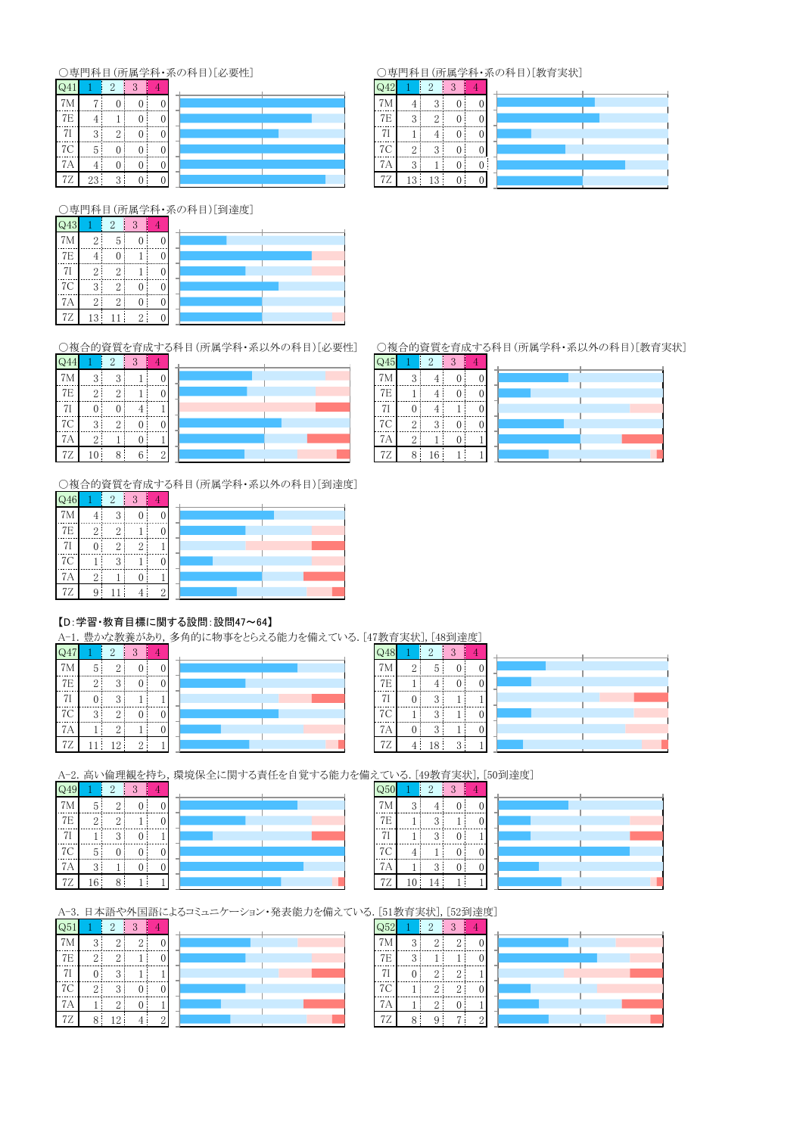### <u>○専門科目(所属学科・系</u>の科目)[必要性]

|            |     | $\epsilon$ | m |  |
|------------|-----|------------|---|--|
| 7M         | Ξ   |            |   |  |
| <b>7E</b>  |     |            |   |  |
|            | ≘   | $\Omega$   |   |  |
| <b>7C</b>  | 5   |            |   |  |
|            |     |            |   |  |
| $\prime$ . | 23! | $\Omega$   |   |  |

#### ○専門科目(所属学科・系の科目)[教育実状]

| Q42 |          | $\overline{2}$ | $\overline{Q}$ |  |
|-----|----------|----------------|----------------|--|
| 7M  |          | ŋ              |                |  |
| 7E  | $\Omega$ | $\Omega$       |                |  |
| 7I  |          |                |                |  |
| 7C  | $\Omega$ | $\Omega$       |                |  |
| 7A  | 3        |                |                |  |
| 7Z  | 13       | c              |                |  |

○専門科目(所属学科・系の科目)[到達度]

| Q43       |                | $\mathcal{O}$    | 3 |  |
|-----------|----------------|------------------|---|--|
| 7M        | $\overline{2}$ | 5                |   |  |
| <b>7E</b> | 4              | 0                |   |  |
|           | $\overline{2}$ | $\overline{2}$   |   |  |
| 7C        | 3              | $\overline{2}$   |   |  |
| 7Α        | $\overline{2}$ | $\boldsymbol{2}$ | 0 |  |
| 7Ζ        | 13             |                  | 2 |  |

| $\sqrt{244}$   |                | $\overline{2}$ | 3  |   |  |
|----------------|----------------|----------------|----|---|--|
| 7M             | 3              | 3              |    | 0 |  |
| 7E             | $\overline{2}$ | $\overline{2}$ |    |   |  |
| 7 <sub>I</sub> | 0              | $\overline{0}$ |    |   |  |
| 7C             | 3              | $\overline{2}$ | IJ |   |  |
| 7A             | $\overline{2}$ |                | 0  |   |  |
| <b>7Z</b>      | 10             | 8              | 6  | 2 |  |

○複合的資質を育成する科目(所属学科・系以外の科目)[到達度]

| $\overline{Q}46$ | 3<br>$\overline{2}$ |                |                |                |  |
|------------------|---------------------|----------------|----------------|----------------|--|
| 7M               |                     | 3              | 0              | $\overline{0}$ |  |
| 7E               | $\overline{2}$      | $\overline{2}$ |                | 0              |  |
| 7 <sub>l</sub>   | 0                   | $\overline{2}$ | $\overline{2}$ |                |  |
| 7C               |                     | 3              |                | 0              |  |
| 7A               | $\overline{2}$      |                | 0              |                |  |
| 72               | 9                   |                |                | 2              |  |

#### 【D: 学習·教育目標に関する設問:設問47~64】

| Q47 |                | $\overline{2}$ | 3          |                |  |
|-----|----------------|----------------|------------|----------------|--|
| 7M  | 5              | $\overline{2}$ | 0          | $\overline{0}$ |  |
| 7E  | $\overline{2}$ | 3              | 0          | 0              |  |
| 7I  | $\overline{0}$ | 3              |            |                |  |
| 7C  | 3              | $\overline{2}$ | 0          | Ó              |  |
| 7A  |                | $\overline{2}$ |            | 0              |  |
| 7Z  |                | 12             | $\sqrt{2}$ |                |  |

| Q481           |                | 2  | 3        |   |  |
|----------------|----------------|----|----------|---|--|
| 7M             | $\overline{2}$ | 5  | 0        | 0 |  |
| $7\mathrm{E}$  |                |    | $\theta$ | C |  |
| 7 <sub>l</sub> | $\overline{0}$ | 3  |          |   |  |
| 7 <sup>C</sup> |                | 3  |          | C |  |
| 7A             | $\theta$       | 3  |          | 0 |  |
| 72             |                | 18 | 3        |   |  |

 $\overline{\text{Q50}}$ 

 $\frac{7M}{7E}$ 

 $\frac{1}{71}$ 

 $7<sup>C</sup>$ 

 $7A$ 

 $7Z$ 

A-2. 高い倫理観を持ち, 環境保全に関する責任を自覚する能力を備えている. [49教育実状], [50到達度]  $\overline{Q49}$ 

 $7M$ 

-----<br>71

 $7<sup>C</sup>$ 

 $7A$  $7Z$ 

|                | $\overline{2}$ | 3 |   |  |
|----------------|----------------|---|---|--|
| 5              | $\overline{2}$ | 0 | 0 |  |
| $\overline{2}$ | $\overline{2}$ |   |   |  |
|                | 3              | 0 |   |  |
| 5              | 0              |   | U |  |
| 3              |                | 0 | 0 |  |
| 16             | 8              |   |   |  |
|                |                |   |   |  |

|                     |                    | c |  |  |
|---------------------|--------------------|---|--|--|
| $\mathcal{P}$<br>л. |                    |   |  |  |
|                     | $\epsilon$<br>ĸ.   |   |  |  |
|                     | $\Omega$<br>ĸ.     |   |  |  |
|                     |                    |   |  |  |
|                     | c                  |   |  |  |
| 10                  | $\mathbf{\hat{r}}$ |   |  |  |

A-3. 日本語や外国語によるコミュニケーション・発表能力を備えている. [51教育実状], [52到達度]

| Q51            |                | $\overline{2}$ | 3              |                |  |
|----------------|----------------|----------------|----------------|----------------|--|
| 7 <sub>M</sub> | 3              | $\overline{2}$ | $\overline{2}$ | $\overline{0}$ |  |
| 7E             | $\overline{2}$ | $\overline{2}$ |                | 0              |  |
| 7 <sub>I</sub> | $\overline{0}$ | 3              |                |                |  |
| 7C             | $\overline{2}$ | 3              | 0              | $\overline{0}$ |  |
| 7A             |                | $\overline{2}$ | 0              |                |  |
| <b>7Z</b>      | 8              | 12             |                | $\overline{2}$ |  |

|  | . . |
|--|-----|

| Q52            |   |                | 3              |                |  |
|----------------|---|----------------|----------------|----------------|--|
| 7M             | 3 | 2              | $\overline{2}$ | 0              |  |
| 7E             | 3 |                |                |                |  |
| 7 <sub>I</sub> | 0 | $\overline{2}$ | $\overline{2}$ |                |  |
| 7C             |   | $\overline{2}$ | 2              |                |  |
| 7A             |   | $\overline{2}$ |                |                |  |
| 7Z             | 8 | 9              |                | $\overline{2}$ |  |

○複合的資質を育成する科目(所属学科・系以外の科目)[必要性] ○複合的資質を育成する科目(所属学科・系以外の科目)[教育実状]<br>| Q44| 1 | 9 | 9 | 8 | 4 |

| Q45       |                | ٠, |   |   |  |
|-----------|----------------|----|---|---|--|
| 7M        | 3              |    |   |   |  |
| 7E        |                |    |   |   |  |
| 71        |                |    |   |   |  |
| 7C        | $\overline{2}$ | 3  |   | 0 |  |
| 7Α        | $\overline{2}$ |    | 0 |   |  |
| <b>7Z</b> | 8              | 16 |   |   |  |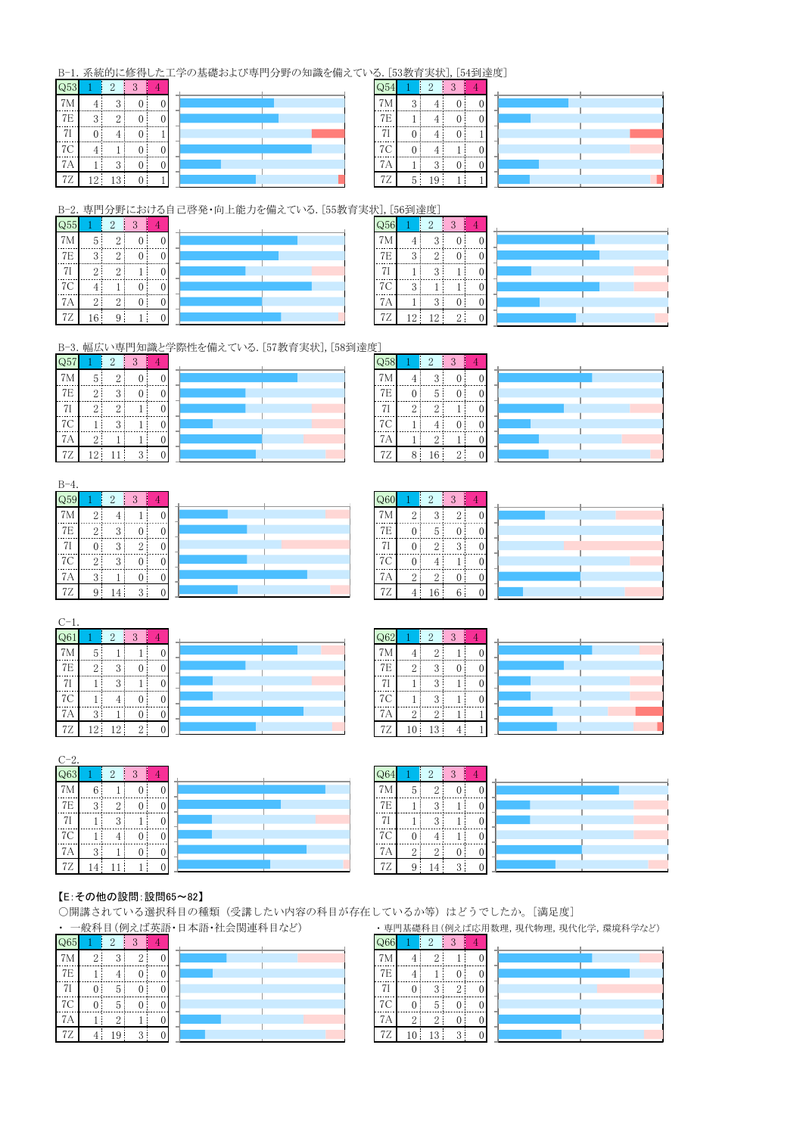#### B-1. 系統的に修得した工学の基礎および専門分野の知識を備えている. [53教育実状], [54到達度]

| Q53 |     | $\overline{2}$ | 3 |  |
|-----|-----|----------------|---|--|
|     |     | $\Omega$       |   |  |
| 7E  | 3   | $\Omega$       |   |  |
|     |     |                |   |  |
| 7C  |     |                |   |  |
| Ά   |     | ≘<br>J         |   |  |
| Z   | 12: | 13             |   |  |

| $\Omega$            |          | $\overline{2}$ | 3 |  |
|---------------------|----------|----------------|---|--|
| 7 <sub>1</sub><br>М | $\Omega$ |                |   |  |
| 7E                  |          |                |   |  |
|                     |          |                |   |  |
| <b>7C</b>           |          |                |   |  |
| $\boldsymbol{A}$    |          | c<br>$\bullet$ |   |  |
| 7Ζ                  | 5        | <sup>0</sup>   |   |  |

B-2. 専門分野における自己啓発・向上能力を備えている. [55教育実状], [56到達度]

| $\sqrt{Q55}$   |                | 2              |   |  |
|----------------|----------------|----------------|---|--|
| 7M             | 5              | 2              |   |  |
| $7\mathrm{E}$  | 3              | $\overline{2}$ | 0 |  |
| 7 <sub>l</sub> | $\overline{2}$ | $\overline{2}$ |   |  |
| 7C             |                |                | 0 |  |
| 7A             | $2^{\circ}$    | 2              |   |  |
| 72             | 16             | q              |   |  |

| $\sim$ |
|--------|
|        |
|        |
|        |
|        |
|        |
|        |
|        |
|        |

| . <i>.</i>                |                |        |   |  |
|---------------------------|----------------|--------|---|--|
| $\overline{\mathsf{Q}}56$ |                | 2      | 3 |  |
| 7M                        |                | 3      |   |  |
| 7E                        | $\overline{Q}$ | $^{2}$ |   |  |
| 7 <sub>I</sub>            |                | 3      |   |  |
| 7 <sup>C</sup>            | 3              |        |   |  |
| 7A                        |                | 3      |   |  |
| 77.                       | $2^{\circ}$    | 12     |   |  |

B-3. 幅広い専門知識と学際性を備えている. [57教育実状], [58到達度]

| $\overline{Q57}$ |                   | $\overline{2}$ | 3 |   |  |
|------------------|-------------------|----------------|---|---|--|
| 7 <sub>M</sub>   | 5                 | $\overline{2}$ |   | 0 |  |
| 7E               | $\mathcal{D}$     | 3              |   | 0 |  |
| 71               | $\mathcal{D}_{1}$ | $\overline{2}$ |   | 0 |  |
| $7\mathrm{C}$    |                   | 3              |   | 0 |  |
| 7A               | $\overline{2}$    |                |   | 0 |  |
| 7Z               | 12                |                | 3 |   |  |

| Q58            |                | $\overline{2}$ | 3            |   |
|----------------|----------------|----------------|--------------|---|
| 7M             | 4              | 3              | $\mathbf{0}$ | Ć |
| 7E             | 0              | 5              | 0            | C |
| 7 <sub>l</sub> | $\overline{2}$ | $\overline{2}$ |              | Ċ |
| 7C             |                | 4              | 0            | Ć |
| 7A             |                | $\overline{2}$ |              | C |
| 7Z             | 8              | 16             | 2            | Ć |

| ₹۰               |                |                |                |   |  |
|------------------|----------------|----------------|----------------|---|--|
| $\overline{Q59}$ |                | $\overline{2}$ | 3              |   |  |
| 7M               | $\overline{2}$ |                |                | O |  |
| 7E               | $\overline{2}$ | 3              | 0              | O |  |
| 7I               | $\Omega$       | 3              | $\overline{2}$ | 0 |  |
| 7C               | $\overline{2}$ | 3              | 0              | 0 |  |
| 7A               | 3              |                | 0              | 0 |  |
| <b>7Z</b>        | q              | 4              | 3              |   |  |

| Q60 |                | $\overline{2}$ | 3              |                |
|-----|----------------|----------------|----------------|----------------|
| 7M  | $\overline{2}$ | 3              | $\overline{2}$ | $\overline{0}$ |
| 7E  | $\overline{0}$ | $\mathbf 5$    | 0              | $\overline{0}$ |
| 7I  | $\overline{0}$ | $\overline{2}$ | 3              | $\overline{0}$ |
| 7C  | $\overline{0}$ | 4              |                | $\overline{0}$ |
| 7A  | 2              | $\overline{2}$ | 0              | $\overline{0}$ |
| 72  |                | 16             | 6              | $\Omega$       |

|   |   | . . |  |
|---|---|-----|--|
| € |   | ◠   |  |
|   |   |     |  |
|   |   | Ω   |  |
|   |   |     |  |
|   |   |     |  |
|   | u | h   |  |

| Q61 |                | $\overline{2}$ | 3              |                |  |
|-----|----------------|----------------|----------------|----------------|--|
| 7M  | 5              |                |                | 0              |  |
| 7E  | $\overline{2}$ | 3              | $\overline{0}$ | 0              |  |
| 7I  |                | 3              | ı              | $\overline{0}$ |  |
| 7C  |                | 4              | 0              | 0              |  |
| 7A  | 3              |                | 0              | 0              |  |
| 77  | $\mathcal{D}$  | $\mathcal{D}$  | 2              |                |  |

| $\Im 62$ |          | 2        |  |
|----------|----------|----------|--|
| 7М       |          | Ω        |  |
| 7E       | $\Omega$ | $\Omega$ |  |
| 71       |          | 2<br>٠,  |  |
| 7C       |          | 2        |  |
| 7А       | $\Omega$ |          |  |
| 7Ζ       | 10       | 13       |  |

#### $C-2$ .

 $\overline{\text{Q}63}$  $7M$  $6<sup>1</sup>$  $\mathbf{1}$  $\overline{0}$  $\overline{0}$  $7E$  $3<sup>1</sup>$  $\sqrt{2}$  $\,0\,$  $\overline{0}$  $7<sub>I</sub>$  $\overline{3}$  $\mathbf{1}$  $\overline{0}$  $\mathbf{1}$  $7<sup>o</sup>$  $\overline{4}$  $\mathbf{0}$  $\overline{0}$  $\mathbf{1}$  $7A$  $\overline{0}$  $\epsilon$  $\overline{a}$  $\mathbf{1}$  $7Z$  $|11|$  $\overline{1}$  $\overline{0}$  $14<sup>1</sup>$ 



| $\sqrt{264}$   |          | $\overline{2}$ | 3        |  |
|----------------|----------|----------------|----------|--|
| 7 <sub>M</sub> | 5        | $\Omega$       |          |  |
| 7E             |          | $\Omega$       |          |  |
| 71             |          | $\Omega$       |          |  |
| $7\mathrm{C}$  |          |                |          |  |
| 7A             | $\Omega$ | റ              |          |  |
| $7\mathrm{Z}$  | 9        | 4              | $\Omega$ |  |

#### 【E: その他の設問:設問65~82】

○開講されている選択科目の種類(受講したい内容の科目が存在しているか等)はどうでしたか。[満足度] ・ 一般科目(例えば英語・日本語・社会関連科目など) ・ 専門基礎科目(例えば応用数理、現代物理、現代化学、環境科学など)

| Q65 |          | $\overline{2}$ | 3        |            |
|-----|----------|----------------|----------|------------|
| 7М  | $\Omega$ | 3              | 9        |            |
| 7E  |          |                | O        | 0          |
| 71  |          | 5              | 0        | 0          |
| 7C  | 0        | 5              | 0        | 0          |
| 7A  |          | Ω              |          | 0          |
|     | Λ        | 1 Q            | $\Omega$ | $^{\circ}$ |

| Q66       |                | 2        | 3 |         |
|-----------|----------------|----------|---|---------|
| 7М        |                | $\Omega$ |   | 0       |
| 7E        |                |          |   |         |
| 71        | 0              | 3        | 2 | 0       |
| 7C        | 0              | 5        |   | 0       |
| 7Α        | $\overline{2}$ | 2        |   | $^{()}$ |
| <b>7Z</b> | 10             | 13       | 3 |         |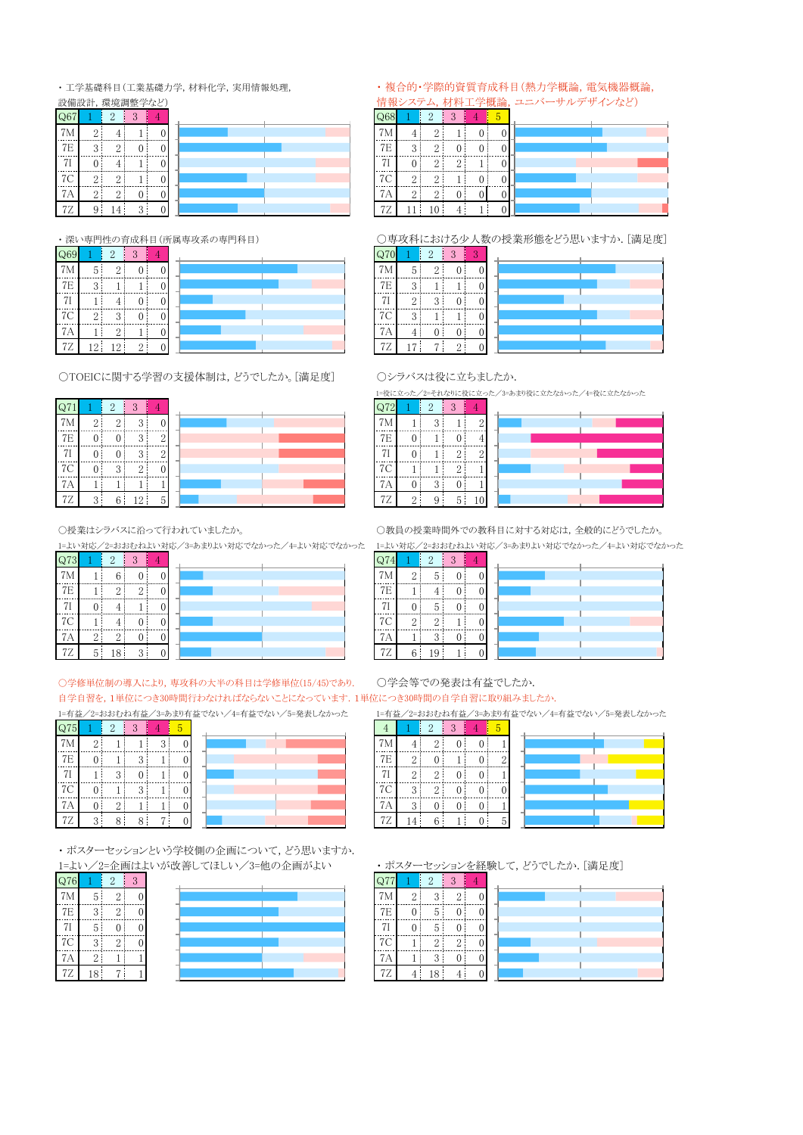· 工学基礎科目(工業基礎力学, 材料化学, 実用情報処理,

| 設備設計,環境調整学など) |   |          |   |  |  |  |  |  |
|---------------|---|----------|---|--|--|--|--|--|
| Q6            |   | 2        | 3 |  |  |  |  |  |
| M             | 9 |          |   |  |  |  |  |  |
| 7E            | 3 | $\Omega$ |   |  |  |  |  |  |
| 7Ι            |   |          |   |  |  |  |  |  |
| 7С            |   | $\Omega$ |   |  |  |  |  |  |
| 7Α            | 2 | 2        |   |  |  |  |  |  |
| 72            | 9 |          | 3 |  |  |  |  |  |

・深い専門性の育成科目(所属専攻系の専門科目)

| $\mathsf{Q}69$ |                 | $\overline{2}$ | 3              |                |  |
|----------------|-----------------|----------------|----------------|----------------|--|
| 7M             | 5               | $\overline{2}$ | C              | $\overline{0}$ |  |
| $7\mathrm{E}$  | 3               |                |                | 0              |  |
| 7I             |                 | 4              | 0              | $\Omega$       |  |
| 7C             | 2               | 3              | 0              | 0              |  |
| 7A             |                 | $\overline{2}$ |                | $\Omega$       |  |
| 7Z             | 12 <sup>1</sup> | 12             | $\overline{2}$ |                |  |

○TOEICに関する学習の支援体制は、どうでしたか。[満足度]





○授業はシラバスに沿って行われていましたか。

1=よい対応/2=おおむねよい対応/3=あまりよい対応でなかった/4=よい対応でなかった

| Q73 |                | $\overline{2}$ | 3              |  |
|-----|----------------|----------------|----------------|--|
| 7M  |                | 6              | 0              |  |
| 7E  |                | $\overline{2}$ | $\overline{2}$ |  |
|     |                |                |                |  |
| 7C  |                |                |                |  |
| 7А  | $\overline{2}$ | $\overline{2}$ |                |  |
| 7Ζ  | 5              | 18             | 3              |  |

○学修単位制の導入により、専攻科の大半の科目は学修単位(15/45)であり. 自学自習を,1単位につき30時間行わなければならないことになっています.1単位につき30時間の自学自習に取り組みましたか.

1=有益/2=おおむね有益/3=あまり有益でない/4=有益でない/5=発表しなかった

| Q75 |                | $\overline{2}$ | 3 |   | 5 |  |
|-----|----------------|----------------|---|---|---|--|
| 7M  | $\overline{2}$ |                |   | 3 |   |  |
| 7E  | 0              |                | 3 |   |   |  |
| 71  |                | 3              |   |   |   |  |
| 7C  | 0              |                | 3 |   |   |  |
| 7А  | 0              | $\overline{2}$ |   |   |   |  |
| 7Ζ  | 3              | 8              | 8 | , |   |  |

・ポスターセッションという学校側の企画について、どう思いますか. 1=よい/2=企画はよいが改善してほしい/3=他の企画がよい

| Q76 |                | $\overline{2}$ | 3              |
|-----|----------------|----------------|----------------|
| 7M  | 5              | 2              | $\overline{0}$ |
| 7E  | 3              | 2              | $\overline{0}$ |
| 7I  | 5              | 0              | 0              |
| 7C  | 3              | 2              | 0              |
| 7А  | $\overline{2}$ |                |                |
| 7Z  | 18             | 7              |                |

#### · 複合的·学際的資質育成科目(熱力学概論, 電気機器概論, 情報システム,材料工学概論,ユニバーサルデザインなど)

| Q68       |                | $\overline{2}$ | 3              |   | 5 |
|-----------|----------------|----------------|----------------|---|---|
| 7M        |                | $\overline{2}$ |                | 0 |   |
| 7E        | 3              | $\overline{2}$ | 0              | 0 |   |
| 71        |                | $\Omega$       | $\overline{2}$ |   |   |
| 7C        | $\overline{2}$ | $\overline{2}$ |                | 0 |   |
| 7Α        | $\mathbf{2}$   | $\overline{2}$ | $\mathbf{0}$   | 0 |   |
| <b>7Z</b> | 11             | 10             | 4              |   |   |

#### ○専攻科における少人数の授業形態をどう思いますか.[満足度]

| Q70 |                | $\overline{2}$ | 3        | c |  |
|-----|----------------|----------------|----------|---|--|
| 7Μ  | 5              | $\Omega$       |          | 0 |  |
| 7E  | 3              |                |          |   |  |
| 7   | $\overline{2}$ | 3              |          |   |  |
| 7C  | $\Omega$<br>υ  |                |          |   |  |
| 7Α  | 4              | 0              |          | 0 |  |
| 72  | 7              | -              | $\Omega$ |   |  |

○シラバスは役に立ちましたか.

1=役に立った/2=それなりに役に立った/3=あまり役に立たなかった/4=役に立たなかった

|    |          | $\overline{2}$ | 3        |          |
|----|----------|----------------|----------|----------|
| 7M |          | 2              |          | $\Omega$ |
| 7E |          |                | $_{0}$   |          |
| 71 |          |                | $\Omega$ | $\Omega$ |
| 7C |          |                | 9        |          |
| 7Α |          | 3              | 0        |          |
| 72 | $\Omega$ |                | 5        |          |

○教員の授業時間外での教科目に対する対応は、全般的にどうでしたか。

1=よい対応/2=おおむねよい対応/3=あまりよい対応でなかった/4=よい対応でなかった  $\overline{\Omega^{74}}$ 

| $\omega$ |                |                |  |  |
|----------|----------------|----------------|--|--|
| 7M       | 2              | 5              |  |  |
| 7E       |                |                |  |  |
| 71       |                | 5              |  |  |
| 7C       | $\overline{2}$ | $\overline{2}$ |  |  |
| 7Α       |                | 3              |  |  |
| 7Ζ       | 6              | 19             |  |  |

○学会等での発表は有益でしたか.

1=有益/2=おおむね有益/3=あまり有益でない/4=有益でない/5=発表しなかった

 $\overline{4}$  $2 \mid 3 \mid 4 \mid 5$ 

|    | 4             | .,       |  |   |  |
|----|---------------|----------|--|---|--|
| 7E | $\Omega$      |          |  |   |  |
| 77 | $\Omega$      | $\Omega$ |  |   |  |
| 7C | $\Omega$<br>υ | $\Omega$ |  |   |  |
|    | $\Omega$<br>◡ |          |  |   |  |
| ◡  |               | 6        |  | 5 |  |

・ポスターセッションを経験して、どうでしたか. [満足度]

| Q77       |                | $\overline{2}$ | 3              |  |
|-----------|----------------|----------------|----------------|--|
| 7M        | $\overline{2}$ | 3              | $\overline{2}$ |  |
| 7E        |                | 5              | $\Omega$       |  |
| 7I        |                | 5              | 0              |  |
| 7C        |                | $\Omega$       | $\overline{2}$ |  |
| 7A        |                | 3              | 0              |  |
| <b>7Z</b> |                | 18             |                |  |